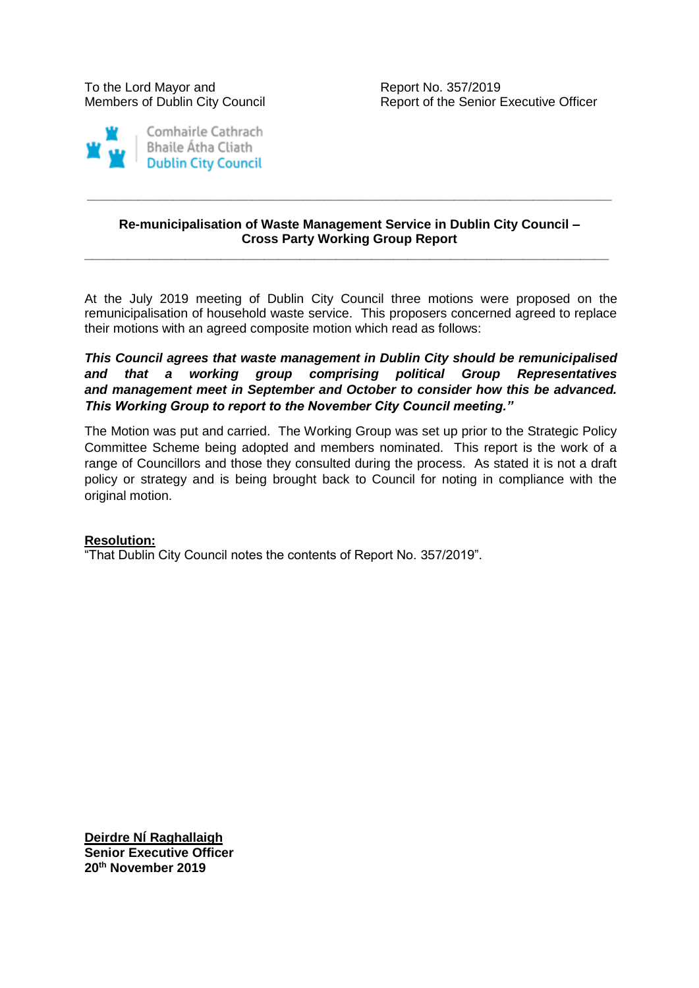To the Lord Mayor and To the Report No. 357/2019



Members of Dublin City Council Report of the Senior Executive Officer

### **Re-municipalisation of Waste Management Service in Dublin City Council – Cross Party Working Group Report**

**\_\_\_\_\_\_\_\_\_\_\_\_\_\_\_\_\_\_\_\_\_\_\_\_\_\_\_\_\_\_\_\_\_\_\_\_\_\_\_\_\_\_\_\_\_\_\_\_\_\_\_\_\_\_\_\_\_\_\_\_\_\_\_\_\_\_\_\_\_\_\_\_\_**

**\_\_\_\_\_\_\_\_\_\_\_\_\_\_\_\_\_\_\_\_\_\_\_\_\_\_\_\_\_\_\_\_\_\_\_\_\_\_\_\_\_\_\_\_\_\_\_\_\_\_\_\_\_\_\_\_\_\_\_\_\_\_\_\_\_\_\_\_\_\_\_\_\_**

At the July 2019 meeting of Dublin City Council three motions were proposed on the remunicipalisation of household waste service. This proposers concerned agreed to replace their motions with an agreed composite motion which read as follows:

## *This Council agrees that waste management in Dublin City should be remunicipalised and that a working group comprising political Group Representatives and management meet in September and October to consider how this be advanced. This Working Group to report to the November City Council meeting."*

The Motion was put and carried. The Working Group was set up prior to the Strategic Policy Committee Scheme being adopted and members nominated. This report is the work of a range of Councillors and those they consulted during the process. As stated it is not a draft policy or strategy and is being brought back to Council for noting in compliance with the original motion.

## **Resolution:**

"That Dublin City Council notes the contents of Report No. 357/2019".

**Deirdre NÍ Raghallaigh Senior Executive Officer 20th November 2019**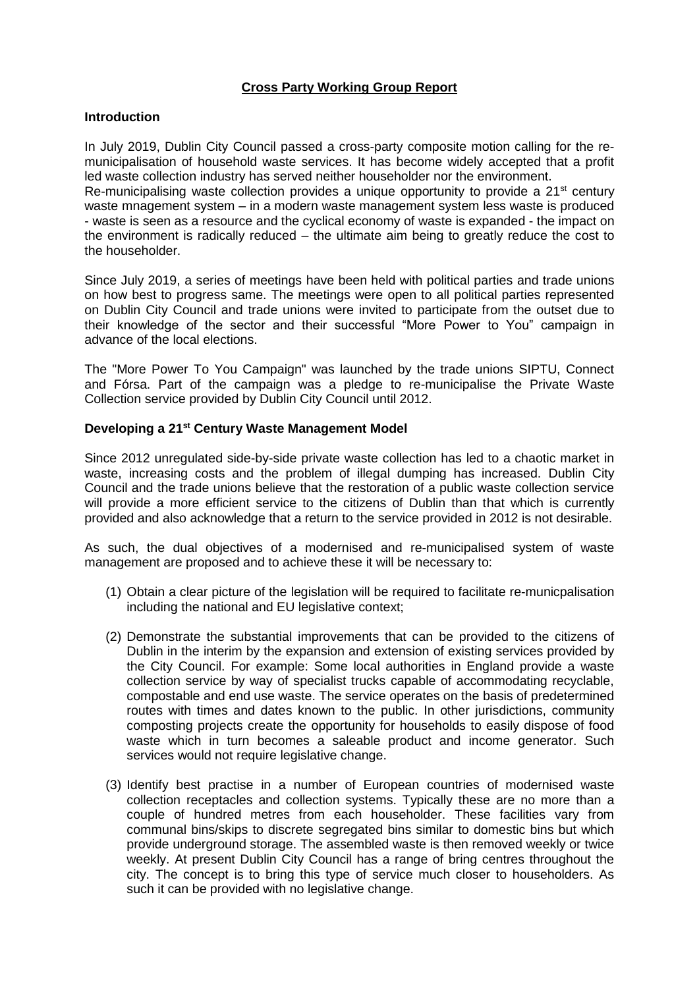# **Cross Party Working Group Report**

#### **Introduction**

In July 2019, Dublin City Council passed a cross-party composite motion calling for the remunicipalisation of household waste services. It has become widely accepted that a profit led waste collection industry has served neither householder nor the environment.

Re-municipalising waste collection provides a unique opportunity to provide a 21<sup>st</sup> century waste mnagement system – in a modern waste management system less waste is produced - waste is seen as a resource and the cyclical economy of waste is expanded - the impact on the environment is radically reduced – the ultimate aim being to greatly reduce the cost to the householder.

Since July 2019, a series of meetings have been held with political parties and trade unions on how best to progress same. The meetings were open to all political parties represented on Dublin City Council and trade unions were invited to participate from the outset due to their knowledge of the sector and their successful "More Power to You" campaign in advance of the local elections.

The "More Power To You Campaign" was launched by the trade unions SIPTU, Connect and Fórsa. Part of the campaign was a pledge to re-municipalise the Private Waste Collection service provided by Dublin City Council until 2012.

#### **Developing a 21st Century Waste Management Model**

Since 2012 unregulated side-by-side private waste collection has led to a chaotic market in waste, increasing costs and the problem of illegal dumping has increased. Dublin City Council and the trade unions believe that the restoration of a public waste collection service will provide a more efficient service to the citizens of Dublin than that which is currently provided and also acknowledge that a return to the service provided in 2012 is not desirable.

As such, the dual objectives of a modernised and re-municipalised system of waste management are proposed and to achieve these it will be necessary to:

- (1) Obtain a clear picture of the legislation will be required to facilitate re-municpalisation including the national and EU legislative context;
- (2) Demonstrate the substantial improvements that can be provided to the citizens of Dublin in the interim by the expansion and extension of existing services provided by the City Council. For example: Some local authorities in England provide a waste collection service by way of specialist trucks capable of accommodating recyclable, compostable and end use waste. The service operates on the basis of predetermined routes with times and dates known to the public. In other jurisdictions, community composting projects create the opportunity for households to easily dispose of food waste which in turn becomes a saleable product and income generator. Such services would not require legislative change.
- (3) Identify best practise in a number of European countries of modernised waste collection receptacles and collection systems. Typically these are no more than a couple of hundred metres from each householder. These facilities vary from communal bins/skips to discrete segregated bins similar to domestic bins but which provide underground storage. The assembled waste is then removed weekly or twice weekly. At present Dublin City Council has a range of bring centres throughout the city. The concept is to bring this type of service much closer to householders. As such it can be provided with no legislative change.